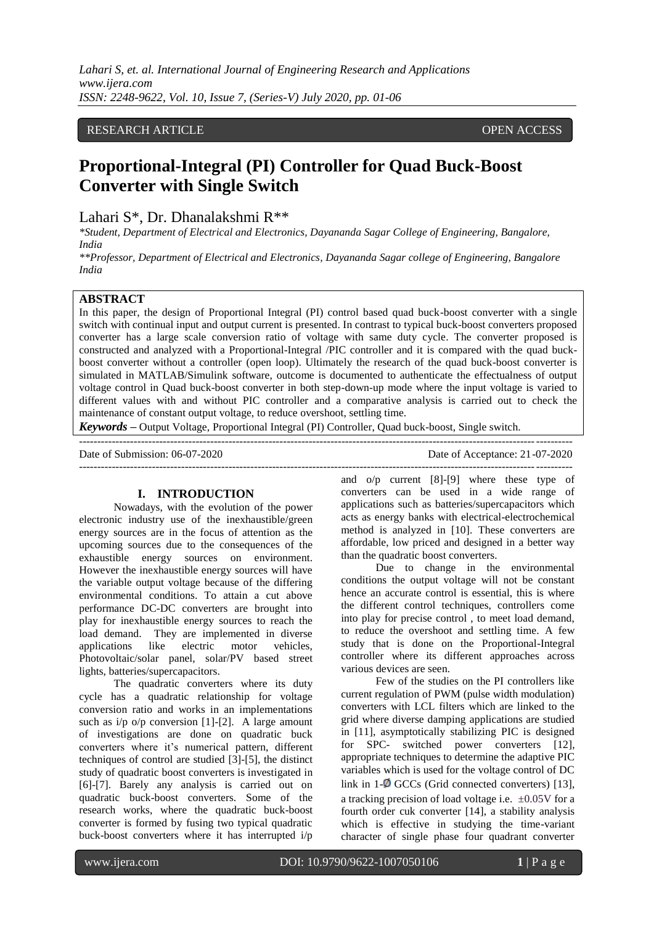*Lahari S, et. al. International Journal of Engineering Research and Applications www.ijera.com ISSN: 2248-9622, Vol. 10, Issue 7, (Series-V) July 2020, pp. 01-06*

## RESEARCH ARTICLE **OPEN ACCESS**

# **Proportional-Integral (PI) Controller for Quad Buck-Boost Converter with Single Switch**

Lahari S\*, Dr. Dhanalakshmi R\*\*

*\*Student, Department of Electrical and Electronics, Dayananda Sagar College of Engineering, Bangalore, India*

*\*\*Professor, Department of Electrical and Electronics, Dayananda Sagar college of Engineering, Bangalore India*

### **ABSTRACT**

In this paper, the design of Proportional Integral (PI) control based quad buck-boost converter with a single switch with continual input and output current is presented. In contrast to typical buck-boost converters proposed converter has a large scale conversion ratio of voltage with same duty cycle. The converter proposed is constructed and analyzed with a Proportional-Integral /PIC controller and it is compared with the quad buckboost converter without a controller (open loop). Ultimately the research of the quad buck-boost converter is simulated in MATLAB/Simulink software, outcome is documented to authenticate the effectualness of output voltage control in Quad buck-boost converter in both step-down-up mode where the input voltage is varied to different values with and without PIC controller and a comparative analysis is carried out to check the maintenance of constant output voltage, to reduce overshoot, settling time.

*Keywords* **–** Output Voltage, Proportional Integral (PI) Controller, Quad buck-boost, Single switch.

Date of Submission: 06-07-2020 Date of Acceptance: 21-07-2020 ---------------------------------------------------------------------------------------------------------------------------------------

## **I. INTRODUCTION**

---------------------------------------------------------------------------------------------------------------------------------------

Nowadays, with the evolution of the power electronic industry use of the inexhaustible/green energy sources are in the focus of attention as the upcoming sources due to the consequences of the exhaustible energy sources on environment. However the inexhaustible energy sources will have the variable output voltage because of the differing environmental conditions. To attain a cut above performance DC-DC converters are brought into play for inexhaustible energy sources to reach the load demand. They are implemented in diverse applications like electric motor vehicles, Photovoltaic/solar panel, solar/PV based street lights, batteries/supercapacitors.

The quadratic converters where its duty cycle has a quadratic relationship for voltage conversion ratio and works in an implementations such as i/p o/p conversion [1]-[2]. A large amount of investigations are done on quadratic buck converters where it's numerical pattern, different techniques of control are studied [3]-[5], the distinct study of quadratic boost converters is investigated in [6]-[7]. Barely any analysis is carried out on quadratic buck-boost converters. Some of the research works, where the quadratic buck-boost converter is formed by fusing two typical quadratic buck-boost converters where it has interrupted i/p

and o/p current [8]-[9] where these type of converters can be used in a wide range of applications such as batteries/supercapacitors which acts as energy banks with electrical-electrochemical method is analyzed in [10]. These converters are affordable, low priced and designed in a better way than the quadratic boost converters.

Due to change in the environmental conditions the output voltage will not be constant hence an accurate control is essential, this is where the different control techniques, controllers come into play for precise control , to meet load demand, to reduce the overshoot and settling time. A few study that is done on the Proportional-Integral controller where its different approaches across various devices are seen.

Few of the studies on the PI controllers like current regulation of PWM (pulse width modulation) converters with LCL filters which are linked to the grid where diverse damping applications are studied in [11], asymptotically stabilizing PIC is designed for SPC- switched power converters [12], appropriate techniques to determine the adaptive PIC variables which is used for the voltage control of DC link in  $1-\Phi$  GCCs (Grid connected converters) [13], a tracking precision of load voltage i.e.  $\pm 0.05V$  for a fourth order cuk converter [14], a stability analysis which is effective in studying the time-variant character of single phase four quadrant converter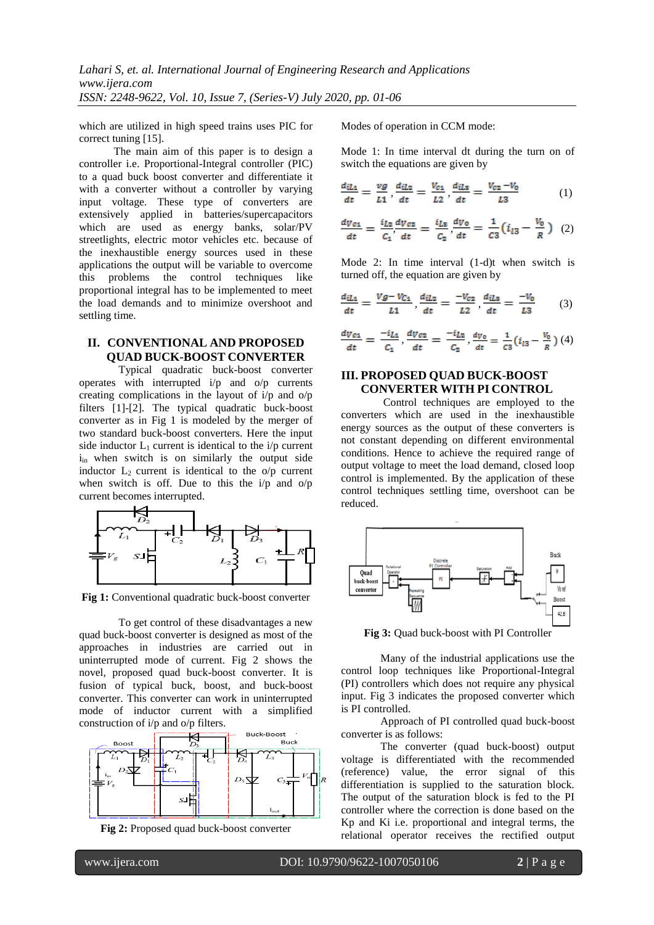which are utilized in high speed trains uses PIC for correct tuning [15].

The main aim of this paper is to design a controller i.e. Proportional-Integral controller (PIC) to a quad buck boost converter and differentiate it with a converter without a controller by varying input voltage. These type of converters are extensively applied in batteries/supercapacitors which are used as energy banks, solar/PV streetlights, electric motor vehicles etc. because of the inexhaustible energy sources used in these applications the output will be variable to overcome this problems the control techniques like proportional integral has to be implemented to meet the load demands and to minimize overshoot and settling time.

# **II. CONVENTIONAL AND PROPOSED QUAD BUCK-BOOST CONVERTER**

Typical quadratic buck-boost converter operates with interrupted i/p and o/p currents creating complications in the layout of i/p and o/p filters [1]-[2]. The typical quadratic buck-boost converter as in Fig 1 is modeled by the merger of two standard buck-boost converters. Here the input side inductor  $L_1$  current is identical to the i/p current i<sub>in</sub> when switch is on similarly the output side inductor  $L_2$  current is identical to the  $o/p$  current when switch is off. Due to this the  $i/p$  and  $o/p$ current becomes interrupted.



**Fig 1:** Conventional quadratic buck-boost converter

To get control of these disadvantages a new quad buck-boost converter is designed as most of the approaches in industries are carried out in uninterrupted mode of current. Fig 2 shows the novel, proposed quad buck-boost converter. It is fusion of typical buck, boost, and buck-boost converter. This converter can work in uninterrupted mode of inductor current with a simplified construction of i/p and o/p filters.



**Fig 2:** Proposed quad buck-boost converter

Modes of operation in CCM mode:

Mode 1: In time interval dt during the turn on of switch the equations are given by

$$
\frac{d_{iL1}}{dt} = \frac{vg}{L1}, \frac{d_{iL2}}{dt} = \frac{V_{c1}}{L2}, \frac{d_{iL3}}{dt} = \frac{V_{c2} - V_0}{L3} \tag{1}
$$

$$
\frac{dv_{c1}}{dt} = \frac{i_{L2}}{C_1} \frac{dv_{c2}}{dt} = \frac{i_{L3}}{C_2} \frac{dv_0}{dt} = \frac{1}{C_3} (i_{l3} - \frac{v_0}{R}) \quad (2)
$$

Mode 2: In time interval (1-d)t when switch is turned off, the equation are given by

$$
\frac{d_{iL1}}{dt} = \frac{Vg - V_{C1}}{L1}, \frac{d_{iL2}}{dt} = \frac{-V_{C2}}{L2}, \frac{d_{iL3}}{dt} = \frac{-V_0}{L3} \tag{3}
$$

$$
\frac{dV_{c1}}{dt} = \frac{-i_{L1}}{c_1}, \frac{dV_{c2}}{dt} = \frac{-i_{L2}}{c_2}, \frac{dV_0}{dt} = \frac{1}{c_3}(i_{l3} - \frac{V_0}{R})
$$
(4)

## **III. PROPOSED QUAD BUCK-BOOST CONVERTER WITH PI CONTROL**

Control techniques are employed to the converters which are used in the inexhaustible energy sources as the output of these converters is not constant depending on different environmental conditions. Hence to achieve the required range of output voltage to meet the load demand, closed loop control is implemented. By the application of these control techniques settling time, overshoot can be reduced.



**Fig 3:** Quad buck-boost with PI Controller

Many of the industrial applications use the control loop techniques like Proportional-Integral (PI) controllers which does not require any physical input. Fig 3 indicates the proposed converter which is PI controlled.

Approach of PI controlled quad buck-boost converter is as follows:

The converter (quad buck-boost) output voltage is differentiated with the recommended (reference) value, the error signal of this differentiation is supplied to the saturation block. The output of the saturation block is fed to the PI controller where the correction is done based on the Kp and Ki i.e. proportional and integral terms, the relational operator receives the rectified output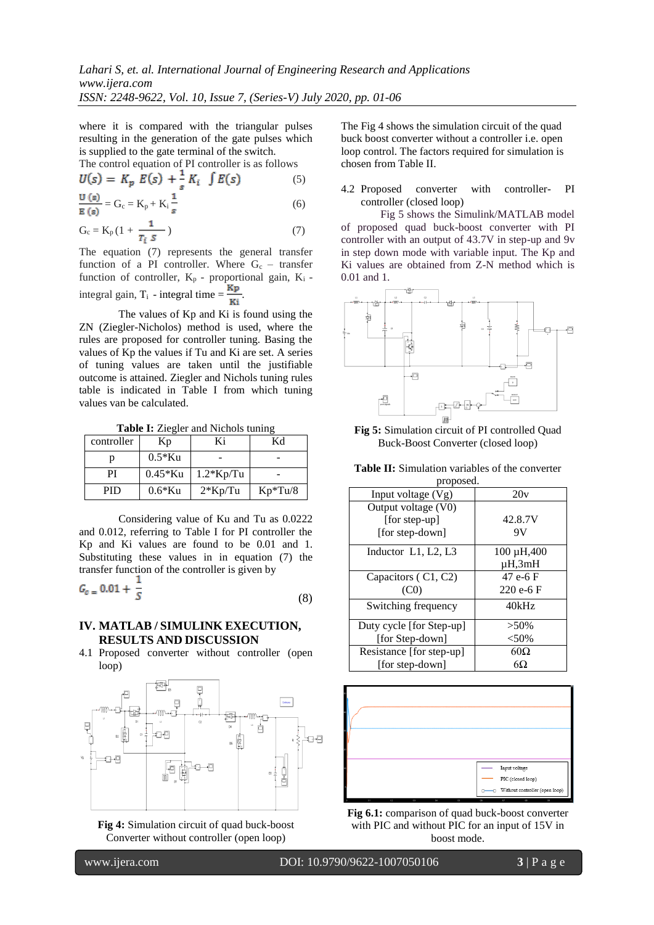where it is compared with the triangular pulses resulting in the generation of the gate pulses which is supplied to the gate terminal of the switch.

The control equation of PI controller is as follows

$$
U(s) = K_p E(s) + \frac{1}{s} K_i J E(s)
$$
 (5)

$$
\frac{\mathbf{G}(\mathbf{s})}{\mathbf{E}(\mathbf{s})} = \mathbf{G}_{\rm c} = \mathbf{K}_{\rm p} + \mathbf{K}_{\rm i} \frac{1}{s} \tag{6}
$$

$$
G_c = K_p \left(1 + \frac{1}{T_i S}\right) \tag{7}
$$

The equation (7) represents the general transfer function of a PI controller. Where  $G_c$  – transfer function of controller,  $K_p$  - proportional gain,  $K_i$  integral gain,  $T_i$  - integral time =  $\frac{Kp}{Ki}$ 

The values of Kp and Ki is found using the ZN (Ziegler-Nicholos) method is used, where the rules are proposed for controller tuning. Basing the values of Kp the values if Tu and Ki are set. A series of tuning values are taken until the justifiable outcome is attained. Ziegler and Nichols tuning rules table is indicated in Table I from which tuning values van be calculated.

**Table I:** Ziegler and Nichols tuning

| controller | Kр         | Ki          | Κd        |
|------------|------------|-------------|-----------|
| n          | $0.5*$ Ku  |             |           |
| PI         | $0.45*$ Ku | $1.2*Kp/Tu$ |           |
| <b>PID</b> | $0.6*$ Ku  | $2*Kp/Tu$   | $Kp*Tu/8$ |

Considering value of Ku and Tu as 0.0222 and 0.012, referring to Table I for PI controller the Kp and Ki values are found to be 0.01 and 1. Substituting these values in in equation (7) the transfer function of the controller is given by

$$
G_{c} = 0.01 + \frac{1}{S} \tag{8}
$$

## **IV. MATLAB / SIMULINK EXECUTION, RESULTS AND DISCUSSION**

4.1 Proposed converter without controller (open loop)



**Fig 4:** Simulation circuit of quad buck-boost Converter without controller (open loop)

The Fig 4 shows the simulation circuit of the quad buck boost converter without a controller i.e. open loop control. The factors required for simulation is chosen from Table II.

4.2 Proposed converter with controller- PI controller (closed loop)

Fig 5 shows the Simulink/MATLAB model of proposed quad buck-boost converter with PI controller with an output of 43.7V in step-up and 9v in step down mode with variable input. The Kp and Ki values are obtained from Z-N method which is 0.01 and 1.



**Fig 5:** Simulation circuit of PI controlled Quad Buck-Boost Converter (closed loop)

**Table II:** Simulation variables of the converter

| proposed.                   |                 |  |  |  |
|-----------------------------|-----------------|--|--|--|
| Input voltage $(Vg)$        | 20v             |  |  |  |
| Output voltage (V0)         |                 |  |  |  |
| [for step-up]               | 42.8.7V         |  |  |  |
| [for step-down]             | 9V              |  |  |  |
| Inductor $L1$ , $L2$ , $L3$ | $100 \mu H,400$ |  |  |  |
|                             | $\mu$ H, $3m$ H |  |  |  |
| Capacitors (C1, C2)         | 47 e-6 F        |  |  |  |
| (C <sub>0</sub> )           | $220e-6F$       |  |  |  |
| Switching frequency         | 40kHz           |  |  |  |
| Duty cycle [for Step-up]    | $>50\%$         |  |  |  |
| [for Step-down]             | < 50%           |  |  |  |
| Resistance [for step-up]    | $60\Omega$      |  |  |  |
| [for step-down]             | 6Ω              |  |  |  |



**Fig 6.1:** comparison of quad buck-boost converter with PIC and without PIC for an input of 15V in boost mode.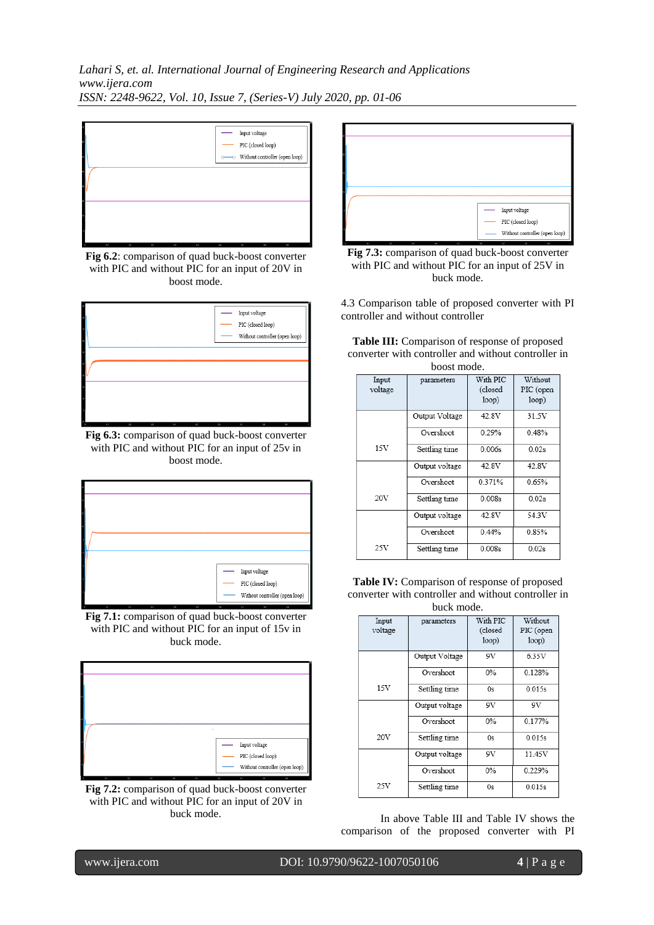*Lahari S, et. al. International Journal of Engineering Research and Applications www.ijera.com ISSN: 2248-9622, Vol. 10, Issue 7, (Series-V) July 2020, pp. 01-06*



**Fig 6.2**: comparison of quad buck-boost converter with PIC and without PIC for an input of 20V in boost mode.



**Fig 6.3:** comparison of quad buck-boost converter with PIC and without PIC for an input of 25v in boost mode.



**Fig 7.1:** comparison of quad buck-boost converter with PIC and without PIC for an input of 15v in buck mode.



**Fig 7.2:** comparison of quad buck-boost converter with PIC and without PIC for an input of 20V in buck mode.



**Fig 7.3:** comparison of quad buck-boost converter with PIC and without PIC for an input of 25V in buck mode.

4.3 Comparison table of proposed converter with PI controller and without controller

**Table III:** Comparison of response of proposed converter with controller and without controller in boost mode.

| DOOST HIQUE.     |                |                     |                      |  |  |  |
|------------------|----------------|---------------------|----------------------|--|--|--|
| Input<br>voltage | parameters     | With PIC<br>(closed | Without<br>PIC (open |  |  |  |
|                  |                | loop)               | loop)                |  |  |  |
|                  | Output Voltage | 42.8V               | 31.5V                |  |  |  |
|                  | Overshoot      | 0.29%               | 0.48%                |  |  |  |
| 15V              | Settling time  | 0.006s              | 0.02s                |  |  |  |
|                  | Output voltage | 42.8V               | 42.8V                |  |  |  |
|                  | Overshoot      | 0.371%              | 0.65%                |  |  |  |
| 20V              | Settling time  | 0.008s              | 0.02s                |  |  |  |
|                  | Output voltage | 42.8V               | 54.3V                |  |  |  |
|                  | Overshoot      | 0.44%               | 0.85%                |  |  |  |
| 25V              | Settling time  | 0.008s              | 0.02s                |  |  |  |

**Table IV:** Comparison of response of proposed converter with controller and without controller in

| buck mode.       |                |                              |                               |  |  |
|------------------|----------------|------------------------------|-------------------------------|--|--|
| Input<br>voltage | parameters     | With PIC<br>(closed<br>loop) | Without<br>PIC (open<br>loop) |  |  |
|                  | Output Voltage | 9V                           | 6.35V                         |  |  |
|                  | Overshoot      | $0\%$                        | 0.128%                        |  |  |
| 15V              | Settling time  | 0s                           | 0.015s                        |  |  |
|                  | Output voltage | 9V                           | 9V                            |  |  |
|                  | Overshoot      | $0\%$                        | 0.177%                        |  |  |
| 20V              | Settling time  | 0s                           | 0.015s                        |  |  |
|                  | Output voltage | 9V                           | 11.45V                        |  |  |
|                  | Overshoot      | 0%                           | 0.229%                        |  |  |
| 25V              | Settling time  | 0s                           | 0.015s                        |  |  |

In above Table III and Table IV shows the comparison of the proposed converter with PI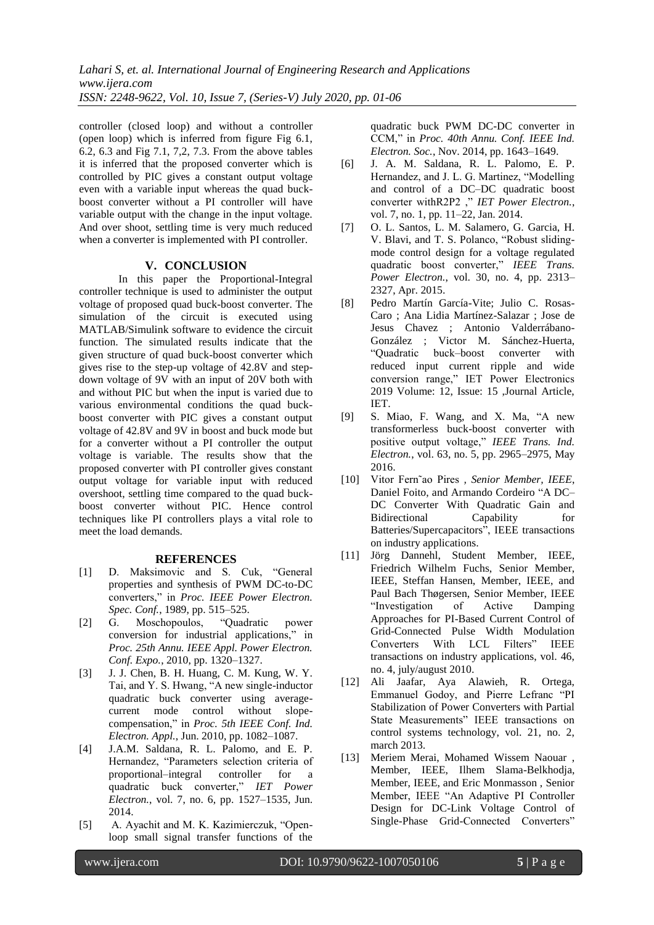*Lahari S, et. al. International Journal of Engineering Research and Applications www.ijera.com ISSN: 2248-9622, Vol. 10, Issue 7, (Series-V) July 2020, pp. 01-06*

controller (closed loop) and without a controller (open loop) which is inferred from figure Fig 6.1, 6.2, 6.3 and Fig 7.1, 7,2, 7.3. From the above tables it is inferred that the proposed converter which is controlled by PIC gives a constant output voltage even with a variable input whereas the quad buckboost converter without a PI controller will have variable output with the change in the input voltage. And over shoot, settling time is very much reduced when a converter is implemented with PI controller.

### **V. CONCLUSION**

In this paper the Proportional-Integral controller technique is used to administer the output voltage of proposed quad buck-boost converter. The simulation of the circuit is executed using MATLAB/Simulink software to evidence the circuit function. The simulated results indicate that the given structure of quad buck-boost converter which gives rise to the step-up voltage of 42.8V and stepdown voltage of 9V with an input of 20V both with and without PIC but when the input is varied due to various environmental conditions the quad buckboost converter with PIC gives a constant output voltage of 42.8V and 9V in boost and buck mode but for a converter without a PI controller the output voltage is variable. The results show that the proposed converter with PI controller gives constant output voltage for variable input with reduced overshoot, settling time compared to the quad buckboost converter without PIC. Hence control techniques like PI controllers plays a vital role to meet the load demands.

## **REFERENCES**

- [1] D. Maksimovic and S. Cuk, "General properties and synthesis of PWM DC-to-DC converters," in *Proc. IEEE Power Electron. Spec. Conf.*, 1989, pp. 515–525.
- [2] G. Moschopoulos, "Quadratic power conversion for industrial applications," in *Proc. 25th Annu. IEEE Appl. Power Electron. Conf. Expo.*, 2010, pp. 1320–1327.
- [3] J. J. Chen, B. H. Huang, C. M. Kung, W. Y. Tai, and Y. S. Hwang, "A new single-inductor quadratic buck converter using averagecurrent mode control without slopecompensation," in *Proc. 5th IEEE Conf. Ind. Electron. Appl.*, Jun. 2010, pp. 1082–1087.
- [4] J.A.M. Saldana, R. L. Palomo, and E. P. Hernandez, "Parameters selection criteria of proportional–integral controller for a quadratic buck converter," *IET Power Electron.*, vol. 7, no. 6, pp. 1527–1535, Jun. 2014.
- [5] A. Ayachit and M. K. Kazimierczuk, "Openloop small signal transfer functions of the

quadratic buck PWM DC-DC converter in CCM," in *Proc. 40th Annu. Conf. IEEE Ind. Electron. Soc.*, Nov. 2014, pp. 1643–1649.

- [6] J. A. M. Saldana, R. L. Palomo, E. P. Hernandez, and J. L. G. Martinez, "Modelling and control of a DC–DC quadratic boost converter withR2P2 ," *IET Power Electron.*, vol. 7, no. 1, pp. 11–22, Jan. 2014.
- [7] O. L. Santos, L. M. Salamero, G. Garcia, H. V. Blavi, and T. S. Polanco, "Robust slidingmode control design for a voltage regulated quadratic boost converter," *IEEE Trans. Power Electron.*, vol. 30, no. 4, pp. 2313– 2327, Apr. 2015.
- [8] Pedro Martín García-Vite; Julio C. Rosas-Caro ; Ana Lidia Martínez-Salazar ; Jose de Jesus Chavez ; Antonio Valderrábano-González ; Victor M. Sánchez-Huerta, "Quadratic buck–boost converter with reduced input current ripple and wide conversion range," IET Power Electronics 2019 Volume: 12, Issue: 15 ,Journal Article, IET.
- [9] S. Miao, F. Wang, and X. Ma, "A new transformerless buck-boost converter with positive output voltage," *IEEE Trans. Ind. Electron.*, vol. 63, no. 5, pp. 2965–2975, May 2016.
- [10] Vitor Fern˜ao Pires *, Senior Member, IEEE*, Daniel Foito, and Armando Cordeiro "A DC– DC Converter With Quadratic Gain and Bidirectional Capability for Batteries/Supercapacitors", IEEE transactions on industry applications.
- [11] Jörg Dannehl, Student Member, IEEE, Friedrich Wilhelm Fuchs, Senior Member, IEEE, Steffan Hansen, Member, IEEE, and Paul Bach Thøgersen, Senior Member, IEEE "Investigation of Active Damping Approaches for PI-Based Current Control of Grid-Connected Pulse Width Modulation Converters With LCL Filters" IEEE transactions on industry applications, vol. 46, no. 4, july/august 2010.
- [12] Ali Jaafar, Aya Alawieh, R. Ortega, Emmanuel Godoy, and Pierre Lefranc "PI Stabilization of Power Converters with Partial State Measurements" IEEE transactions on control systems technology, vol. 21, no. 2, march 2013.
- [13] Meriem Merai, Mohamed Wissem Naouar , Member, IEEE, Ilhem Slama-Belkhodja, Member, IEEE, and Eric Monmasson , Senior Member, IEEE "An Adaptive PI Controller Design for DC-Link Voltage Control of Single-Phase Grid-Connected Converters"